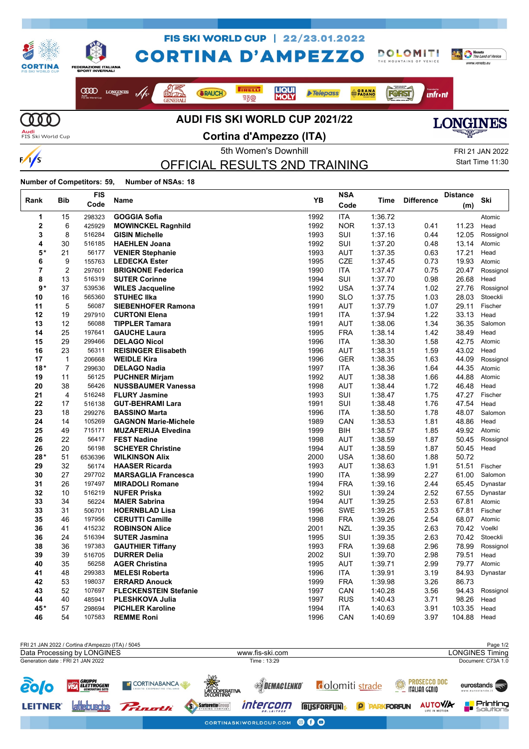

**Cortina d'Ampezzo (ITA)**



5th Women's Downhill FRI 21 JAN 2022

OFFICIAL RESULTS 2ND TRAINING

# Start Time 11:30

**Number of Competitors: 59, Number of NSAs: 18**

 $\frac{1}{s}$ 

| Rank        | Bib            | <b>FIS</b><br>Code | Name                         | YB   | <b>NSA</b> | Time    | <b>Difference</b> | <b>Distance</b><br>(m) | Ski       |
|-------------|----------------|--------------------|------------------------------|------|------------|---------|-------------------|------------------------|-----------|
|             |                |                    |                              |      | Code       |         |                   |                        |           |
| 1           | 15             | 298323             | <b>GOGGIA Sofia</b>          | 1992 | <b>ITA</b> | 1:36.72 |                   |                        | Atomic    |
| $\mathbf 2$ | 6              | 425929             | <b>MOWINCKEL Ragnhild</b>    | 1992 | <b>NOR</b> | 1:37.13 | 0.41              | 11.23                  | Head      |
| 3           | 8              | 516284             | <b>GISIN Michelle</b>        | 1993 | SUI        | 1:37.16 | 0.44              | 12.05                  | Rossignol |
| 4           | 30             | 516185             | <b>HAEHLEN Joana</b>         | 1992 | SUI        | 1:37.20 | 0.48              | 13.14                  | Atomic    |
| 5*          | 21             | 56177              | <b>VENIER Stephanie</b>      | 1993 | AUT        | 1:37.35 | 0.63              | 17.21                  | Head      |
| 6           | 9              | 155763             | <b>LEDECKA Ester</b>         | 1995 | <b>CZE</b> | 1:37.45 | 0.73              | 19.93                  | Atomic    |
| 7           | $\overline{2}$ | 297601             | <b>BRIGNONE Federica</b>     | 1990 | <b>ITA</b> | 1:37.47 | 0.75              | 20.47                  | Rossignol |
| 8           | 13             | 516319             | <b>SUTER Corinne</b>         | 1994 | SUI        | 1:37.70 | 0.98              | 26.68                  | Head      |
| 9*          | 37             | 539536             | <b>WILES Jacqueline</b>      | 1992 | USA        | 1:37.74 | 1.02              | 27.76                  | Rossignol |
| 10          | 16             | 565360             | <b>STUHEC IIka</b>           | 1990 | <b>SLO</b> | 1:37.75 | 1.03              | 28.03                  | Stoeckli  |
| 11          | 5              | 56087              | <b>SIEBENHOFER Ramona</b>    | 1991 | AUT        | 1:37.79 | 1.07              | 29.11                  | Fischer   |
| 12          | 19             | 297910             | <b>CURTONI Elena</b>         | 1991 | <b>ITA</b> | 1:37.94 | 1.22              | 33.13                  | Head      |
| 13          | 12             | 56088              | <b>TIPPLER Tamara</b>        | 1991 | <b>AUT</b> | 1:38.06 | 1.34              | 36.35                  | Salomon   |
| 14          | 25             | 197641             | <b>GAUCHE Laura</b>          | 1995 | <b>FRA</b> | 1:38.14 | 1.42              | 38.49                  | Head      |
| 15          | 29             | 299466             | <b>DELAGO Nicol</b>          | 1996 | <b>ITA</b> | 1:38.30 | 1.58              | 42.75                  | Atomic    |
| 16          | 23             | 56311              | <b>REISINGER Elisabeth</b>   | 1996 | <b>AUT</b> | 1:38.31 | 1.59              | 43.02                  | Head      |
| 17          | 1              | 206668             | <b>WEIDLE Kira</b>           | 1996 | <b>GER</b> | 1:38.35 | 1.63              | 44.09                  | Rossignol |
| $18*$       | $\overline{7}$ | 299630             | <b>DELAGO Nadia</b>          | 1997 | <b>ITA</b> | 1:38.36 | 1.64              | 44.35                  | Atomic    |
| 19          | 11             | 56125              | <b>PUCHNER Mirjam</b>        | 1992 | <b>AUT</b> | 1:38.38 | 1.66              | 44.88                  | Atomic    |
| 20          | 38             | 56426              | <b>NUSSBAUMER Vanessa</b>    | 1998 | <b>AUT</b> | 1:38.44 | 1.72              | 46.48                  | Head      |
| 21          | 4              | 516248             | <b>FLURY Jasmine</b>         | 1993 | SUI        | 1:38.47 | 1.75              | 47.27                  | Fischer   |
| 22          | 17             | 516138             | <b>GUT-BEHRAMI Lara</b>      | 1991 | SUI        | 1:38.48 | 1.76              | 47.54                  | Head      |
| 23          | 18             | 299276             | <b>BASSINO Marta</b>         | 1996 | <b>ITA</b> | 1:38.50 | 1.78              | 48.07                  | Salomon   |
| 24          | 14             | 105269             | <b>GAGNON Marie-Michele</b>  | 1989 | CAN        | 1:38.53 | 1.81              | 48.86                  | Head      |
| 25          | 49             | 715171             | <b>MUZAFERIJA Elvedina</b>   | 1999 | <b>BIH</b> | 1:38.57 | 1.85              | 49.92                  | Atomic    |
| 26          | 22             | 56417              | <b>FEST Nadine</b>           | 1998 | <b>AUT</b> | 1:38.59 | 1.87              | 50.45                  | Rossignol |
| 26          | 20             | 56198              | <b>SCHEYER Christine</b>     | 1994 | <b>AUT</b> | 1:38.59 | 1.87              | 50.45                  | Head      |
| 28*         | 51             | 6536396            | <b>WILKINSON Alix</b>        | 2000 | USA        | 1:38.60 | 1.88              | 50.72                  |           |
| 29          | 32             | 56174              | <b>HAASER Ricarda</b>        | 1993 | AUT        | 1:38.63 | 1.91              | 51.51                  | Fischer   |
| 30          | 27             | 297702             | <b>MARSAGLIA Francesca</b>   | 1990 | ITA        | 1:38.99 | 2.27              | 61.00                  | Salomon   |
| 31          | 26             | 197497             | <b>MIRADOLI Romane</b>       | 1994 | <b>FRA</b> | 1:39.16 | 2.44              | 65.45                  | Dynastar  |
| 32          | 10             | 516219             | <b>NUFER Priska</b>          | 1992 | <b>SUI</b> | 1:39.24 | 2.52              | 67.55                  | Dynastar  |
| 33          | 34             | 56224              | <b>MAIER Sabrina</b>         | 1994 | <b>AUT</b> | 1:39.25 | 2.53              | 67.81                  | Atomic    |
| 33          | 31             | 506701             | <b>HOERNBLAD Lisa</b>        | 1996 | <b>SWE</b> | 1:39.25 | 2.53              | 67.81                  | Fischer   |
| 35          | 46             | 197956             | <b>CERUTTI Camille</b>       | 1998 | <b>FRA</b> | 1:39.26 | 2.54              | 68.07                  | Atomic    |
| 36          | 41             | 415232             | <b>ROBINSON Alice</b>        | 2001 | NZL        | 1:39.35 | 2.63              | 70.42                  | Voelkl    |
| 36          | 24             | 516394             | <b>SUTER Jasmina</b>         | 1995 | SUI        | 1:39.35 | 2.63              | 70.42                  | Stoeckli  |
| 38          | 36             | 197383             | <b>GAUTHIER Tiffany</b>      | 1993 | <b>FRA</b> | 1:39.68 | 2.96              | 78.99                  | Rossignol |
| 39          | 39             | 516705             | <b>DURRER Delia</b>          | 2002 | SUI        | 1:39.70 | 2.98              | 79.51                  | Head      |
| 40          | 35             | 56258              | <b>AGER Christina</b>        | 1995 | <b>AUT</b> | 1:39.71 | 2.99              | 79.77                  | Atomic    |
| 41          | 48             | 299383             | <b>MELESI Roberta</b>        | 1996 | <b>ITA</b> | 1:39.91 | 3.19              | 84.93                  | Dynastar  |
| 42          | 53             | 198037             | <b>ERRARD Anouck</b>         | 1999 | <b>FRA</b> | 1:39.98 | 3.26              | 86.73                  |           |
| 43          | 52             | 107697             | <b>FLECKENSTEIN Stefanie</b> | 1997 | CAN        | 1:40.28 | 3.56              | 94.43                  | Rossignol |
| 44          | 40             | 485941             | <b>PLESHKOVA Julia</b>       | 1997 | <b>RUS</b> | 1.40.43 | 3.71              | 98.26                  | Head      |
| 45*         | 57             | 298694             | <b>PICHLER Karoline</b>      | 1994 | <b>ITA</b> | 1:40.63 | 3.91              | 103.35                 | Head      |
| 46          | 54             | 107583             | <b>REMME Roni</b>            | 1996 | CAN        | 1:40.69 | 3.97              | 104.88                 | Head      |

FRI 21 JAN 2022 / Cortina d'Ampezzo (ITA) / 5045<br>
Data Processing by LONGINES (CONGINES Timing Page 1/2 Data Processing by LONGINES www.fis-ski.com Generation date : FRI 21 JAN 2022 Time : 13:29 Document: C73A 1.0 **VISA** GRUPPI **PROSECCO DOC <u>eolo</u> T** CORTINABANCA **SOEMACLENKO colomiti** strade eurostands **ITALIAN GENIO** LACOOPERATIVA **AUTOVIA** lattebusche **n Printing**<br>P Solutions S: SartorettoGroup intercom **BUSFORFUNE P PARKFORFUN LEITNER®** Pringth CORTINASKIWORLDCUP.COM OOO